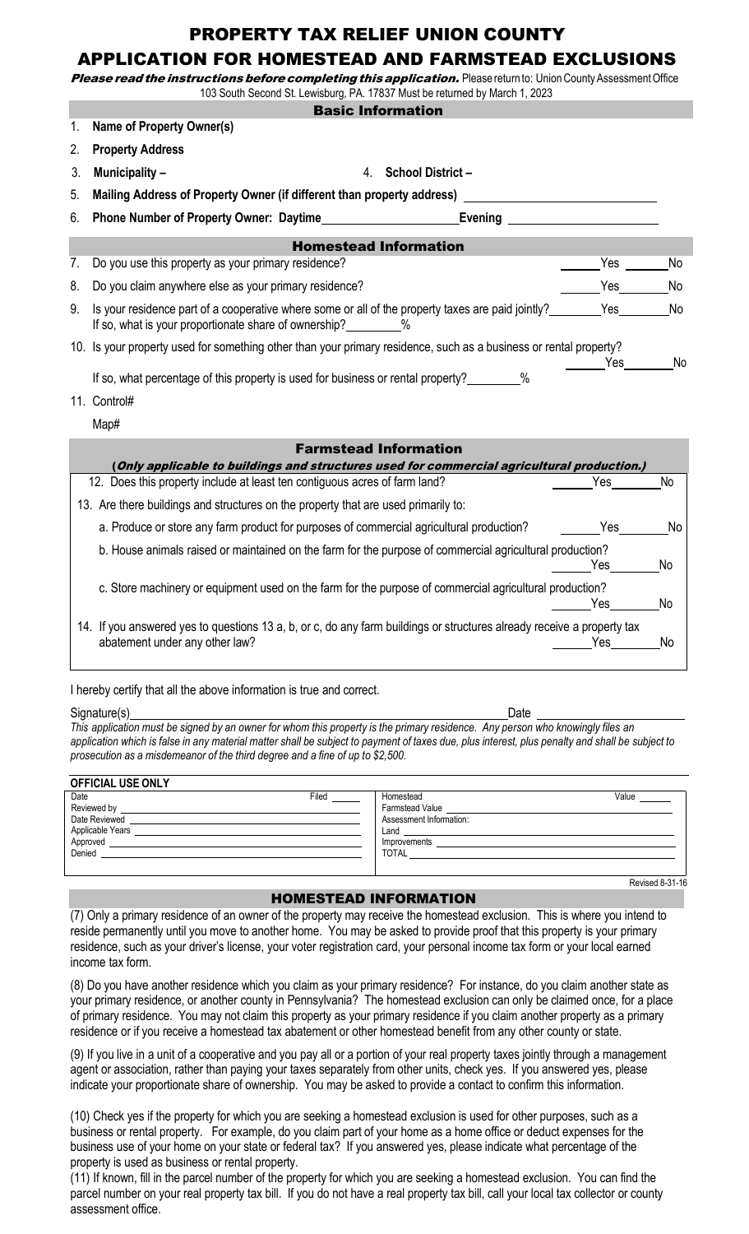## PROPERTY TAX RELIEF UNION COUNTY

# APPLICATION FOR HOMESTEAD AND FARMSTEAD EXCLUSIONS

Please read the instructions before completing this application. Please return to: Union County Assessment Office

|    | 103 South Second St. Lewisburg, PA. 17837 Must be returned by March 1, 2023                                                                                              |                                                                                                                                                                                                                                      |    |  |
|----|--------------------------------------------------------------------------------------------------------------------------------------------------------------------------|--------------------------------------------------------------------------------------------------------------------------------------------------------------------------------------------------------------------------------------|----|--|
|    | <b>Basic Information</b>                                                                                                                                                 |                                                                                                                                                                                                                                      |    |  |
| 1. | Name of Property Owner(s)                                                                                                                                                |                                                                                                                                                                                                                                      |    |  |
| 2. | <b>Property Address</b>                                                                                                                                                  |                                                                                                                                                                                                                                      |    |  |
| 3. | Municipality -<br>4.                                                                                                                                                     | <b>School District-</b>                                                                                                                                                                                                              |    |  |
| 5. | Mailing Address of Property Owner (if different than property address) _                                                                                                 |                                                                                                                                                                                                                                      |    |  |
| 6. | Phone Number of Property Owner: Daytime                                                                                                                                  | Evening <b>Exercise Service Service Service Service Service Service Service Service Service Service Service Service Service Service Service Service Service Service Service Service Service Service Service Service Service Serv</b> |    |  |
|    | <b>Homestead Information</b>                                                                                                                                             |                                                                                                                                                                                                                                      |    |  |
| 7. | Do you use this property as your primary residence?                                                                                                                      | Yes                                                                                                                                                                                                                                  | No |  |
| 8. | Do you claim anywhere else as your primary residence?                                                                                                                    | Yes                                                                                                                                                                                                                                  | No |  |
| 9. | Is your residence part of a cooperative where some or all of the property taxes are paid jointly?<br>If so, what is your proportionate share of ownership?<br>2%         |                                                                                                                                                                                                                                      | No |  |
|    | 10. Is your property used for something other than your primary residence, such as a business or rental property?                                                        | Yes                                                                                                                                                                                                                                  | No |  |
|    | If so, what percentage of this property is used for business or rental property?________%                                                                                |                                                                                                                                                                                                                                      |    |  |
|    | 11. Control#                                                                                                                                                             |                                                                                                                                                                                                                                      |    |  |
|    | Map#                                                                                                                                                                     |                                                                                                                                                                                                                                      |    |  |
|    | <b>Farmstead Information</b>                                                                                                                                             |                                                                                                                                                                                                                                      |    |  |
|    | (Only applicable to buildings and structures used for commercial agricultural production.)<br>12. Does this property include at least ten contiguous acres of farm land? | Yes                                                                                                                                                                                                                                  | No |  |
|    |                                                                                                                                                                          |                                                                                                                                                                                                                                      |    |  |
|    | 13. Are there buildings and structures on the property that are used primarily to:                                                                                       |                                                                                                                                                                                                                                      |    |  |
|    | a. Produce or store any farm product for purposes of commercial agricultural production?                                                                                 | Yes                                                                                                                                                                                                                                  | No |  |
|    | b. House animals raised or maintained on the farm for the purpose of commercial agricultural production?                                                                 | Yes                                                                                                                                                                                                                                  | No |  |
|    | c. Store machinery or equipment used on the farm for the purpose of commercial agricultural production?                                                                  | Yes                                                                                                                                                                                                                                  | No |  |
|    | 14. If you answered yes to questions 13 a, b, or c, do any farm buildings or structures already receive a property tax<br>abatement under any other law?                 | Yes                                                                                                                                                                                                                                  | No |  |

I hereby certify that all the above information is true and correct.

Signature(s) Date This application must be signed by an owner for whom this property is the primary residence. Any person who knowingly files an application which is false in any material matter shall be subject to payment of taxes due, plus interest, plus penalty and shall be subject to *prosecution as a misdemeanor of the third degree and a fine of up to \$2,500.*

| <b>OFFICIAL USE ONLY</b>                                                                                                                                                                                                                                                                  |       |                                                                                                                                                                                                                                                                                                                                  |                 |  |  |
|-------------------------------------------------------------------------------------------------------------------------------------------------------------------------------------------------------------------------------------------------------------------------------------------|-------|----------------------------------------------------------------------------------------------------------------------------------------------------------------------------------------------------------------------------------------------------------------------------------------------------------------------------------|-----------------|--|--|
| Date<br>Reviewed by<br>Date Reviewed<br>Applicable Years<br>the contract of the contract of the contract of the contract of the contract of<br>Approved<br>Denied<br><u> 1980 - Jan Stein Stein Stein Stein Stein Stein Stein Stein Stein Stein Stein Stein Stein Stein Stein Stein S</u> | Filed | Homestead<br><b>Farmstead Value</b><br>Assessment Information:<br>Land and the contract of the contract of the contract of the contract of the contract of the contract of the contract of the contract of the contract of the contract of the contract of the contract of the contract of the c<br>Improvements<br><b>TOTAL</b> | Value           |  |  |
|                                                                                                                                                                                                                                                                                           |       |                                                                                                                                                                                                                                                                                                                                  | Revised 8-31-16 |  |  |

### HOMESTEAD INFORMATION

(7) Only a primary residence of an owner of the property may receive the homestead exclusion. This is where you intend to reside permanently until you move to another home. You may be asked to provide proof that this property is your primary residence, such as your driver's license, your voter registration card, your personal income tax form or your local earned income tax form.

(8) Do you have another residence which you claim as your primary residence? For instance, do you claim another state as your primary residence, or another county in Pennsylvania? The homestead exclusion can only be claimed once, for a place of primary residence. You may not claim this property as your primary residence if you claim another property as a primary residence or if you receive a homestead tax abatement or other homestead benefit from any other county or state.

(9) If you live in a unit of a cooperative and you pay all or a portion of your real property taxes jointly through a management agent or association, rather than paying your taxes separately from other units, check yes. If you answered yes, please indicate your proportionate share of ownership. You may be asked to provide a contact to confirm this information.

(10) Check yes if the property for which you are seeking a homestead exclusion is used for other purposes, such as a business or rental property. For example, do you claim part of your home as a home office or deduct expenses for the business use of your home on your state or federal tax? If you answered yes, please indicate what percentage of the property is used as business or rental property.

(11) If known, fill in the parcel number of the property for which you are seeking a homestead exclusion. You can find the parcel number on your real property tax bill. If you do not have a real property tax bill, call your local tax collector or county assessment office.